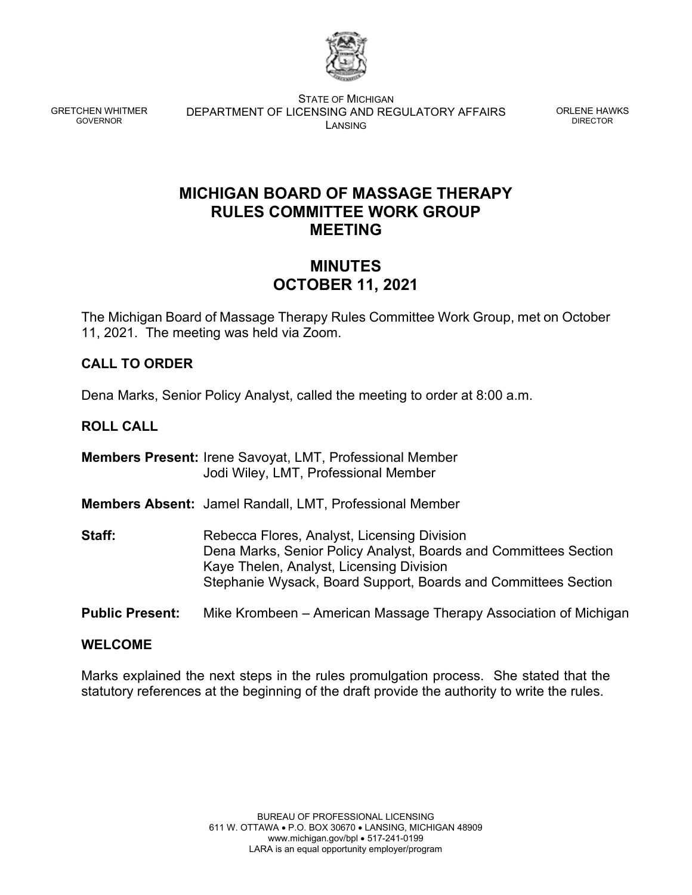

GRETCHEN WHITMER GOVERNOR

STATE OF MICHIGAN DEPARTMENT OF LICENSING AND REGULATORY AFFAIRS LANSING

ORLENE HAWKS DIRECTOR

# **MICHIGAN BOARD OF MASSAGE THERAPY RULES COMMITTEE WORK GROUP MEETING**

# **MINUTES OCTOBER 11, 2021**

The Michigan Board of Massage Therapy Rules Committee Work Group, met on October 11, 2021. The meeting was held via Zoom.

# **CALL TO ORDER**

Dena Marks, Senior Policy Analyst, called the meeting to order at 8:00 a.m.

# **ROLL CALL**

**Members Present:** Irene Savoyat, LMT, Professional Member Jodi Wiley, LMT, Professional Member

**Members Absent:** Jamel Randall, LMT, Professional Member

- **Staff:** Rebecca Flores, Analyst, Licensing Division Dena Marks, Senior Policy Analyst, Boards and Committees Section Kaye Thelen, Analyst, Licensing Division Stephanie Wysack, Board Support, Boards and Committees Section
- **Public Present:** Mike Krombeen American Massage Therapy Association of Michigan

### **WELCOME**

Marks explained the next steps in the rules promulgation process. She stated that the statutory references at the beginning of the draft provide the authority to write the rules.

> BUREAU OF PROFESSIONAL LICENSING 611 W. OTTAWA • P.O. BOX 30670 • LANSING, MICHIGAN 48909 www.michigan.gov/bpl • 517-241-0199 LARA is an equal opportunity employer/program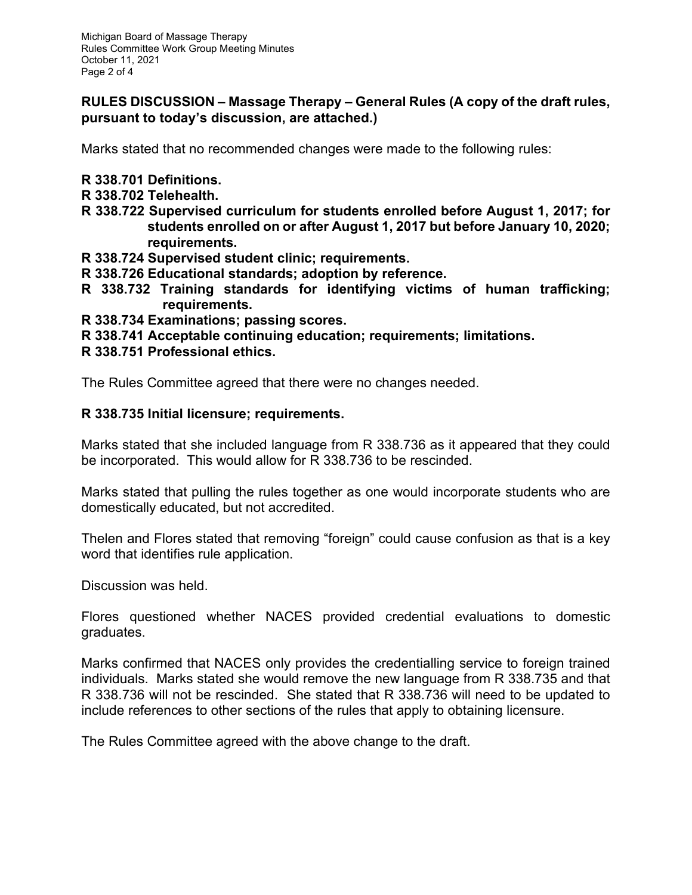### **RULES DISCUSSION – Massage Therapy – General Rules (A copy of the draft rules, pursuant to today's discussion, are attached.)**

Marks stated that no recommended changes were made to the following rules:

- **R 338.701 Definitions.**
- **R 338.702 Telehealth.**
- **R 338.722 Supervised curriculum for students enrolled before August 1, 2017; for students enrolled on or after August 1, 2017 but before January 10, 2020; requirements.**
- **R 338.724 Supervised student clinic; requirements.**
- **R 338.726 Educational standards; adoption by reference.**
- **R 338.732 Training standards for identifying victims of human trafficking; requirements.**
- **R 338.734 Examinations; passing scores.**
- **R 338.741 Acceptable continuing education; requirements; limitations.**
- **R 338.751 Professional ethics.**

The Rules Committee agreed that there were no changes needed.

### **R 338.735 Initial licensure; requirements.**

Marks stated that she included language from R 338.736 as it appeared that they could be incorporated. This would allow for R 338.736 to be rescinded.

Marks stated that pulling the rules together as one would incorporate students who are domestically educated, but not accredited.

Thelen and Flores stated that removing "foreign" could cause confusion as that is a key word that identifies rule application.

Discussion was held.

Flores questioned whether NACES provided credential evaluations to domestic graduates.

Marks confirmed that NACES only provides the credentialling service to foreign trained individuals. Marks stated she would remove the new language from R 338.735 and that R 338.736 will not be rescinded. She stated that R 338.736 will need to be updated to include references to other sections of the rules that apply to obtaining licensure.

The Rules Committee agreed with the above change to the draft.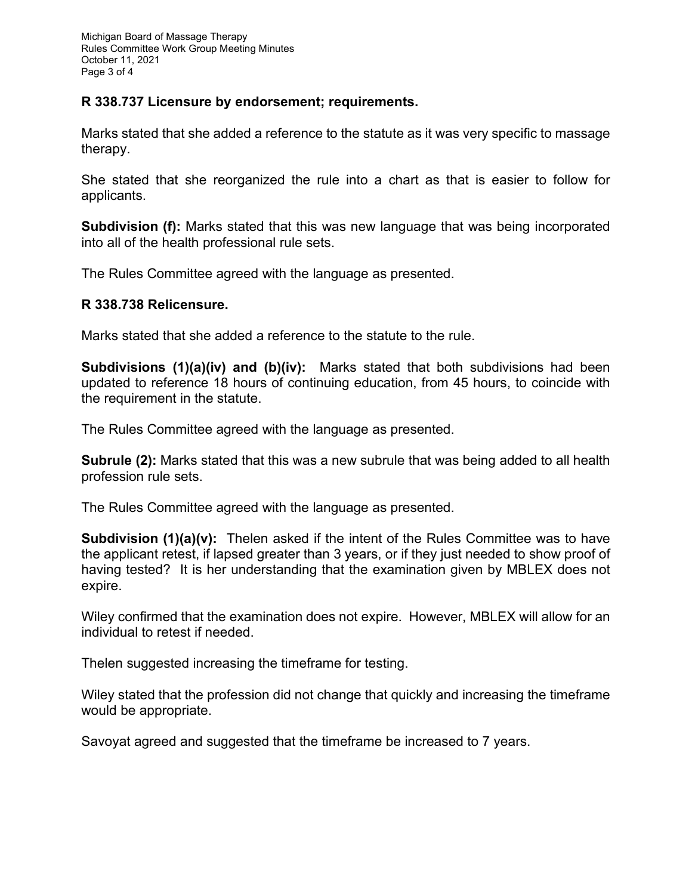## **R 338.737 Licensure by endorsement; requirements.**

Marks stated that she added a reference to the statute as it was very specific to massage therapy.

She stated that she reorganized the rule into a chart as that is easier to follow for applicants.

**Subdivision (f):** Marks stated that this was new language that was being incorporated into all of the health professional rule sets.

The Rules Committee agreed with the language as presented.

### **R 338.738 Relicensure.**

Marks stated that she added a reference to the statute to the rule.

**Subdivisions (1)(a)(iv) and (b)(iv):** Marks stated that both subdivisions had been updated to reference 18 hours of continuing education, from 45 hours, to coincide with the requirement in the statute.

The Rules Committee agreed with the language as presented.

**Subrule (2):** Marks stated that this was a new subrule that was being added to all health profession rule sets.

The Rules Committee agreed with the language as presented.

**Subdivision (1)(a)(v):** Thelen asked if the intent of the Rules Committee was to have the applicant retest, if lapsed greater than 3 years, or if they just needed to show proof of having tested? It is her understanding that the examination given by MBLEX does not expire.

Wiley confirmed that the examination does not expire. However, MBLEX will allow for an individual to retest if needed.

Thelen suggested increasing the timeframe for testing.

Wiley stated that the profession did not change that quickly and increasing the timeframe would be appropriate.

Savoyat agreed and suggested that the timeframe be increased to 7 years.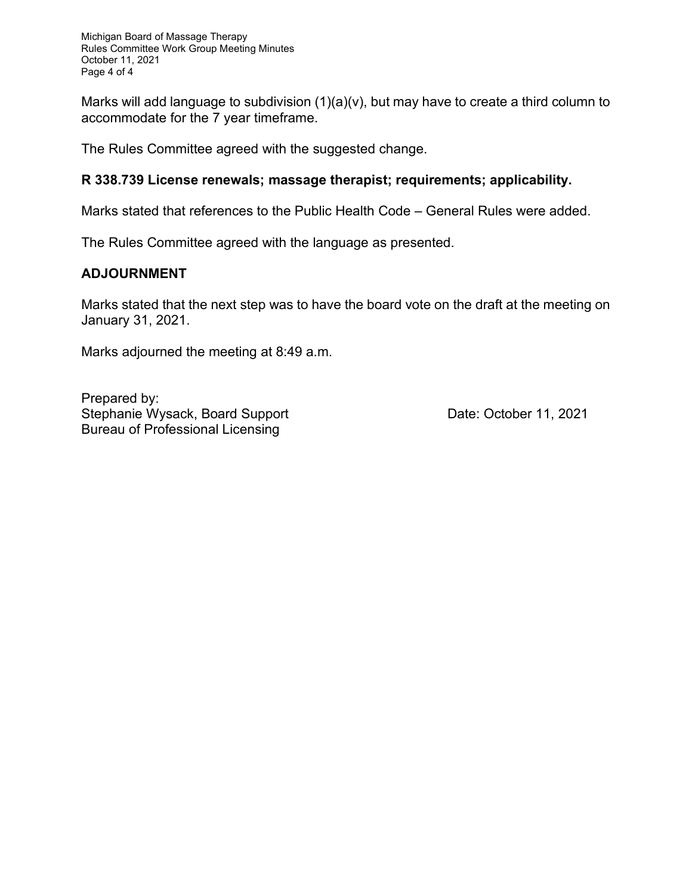Marks will add language to subdivision (1)(a)(v), but may have to create a third column to accommodate for the 7 year timeframe.

The Rules Committee agreed with the suggested change.

## **R 338.739 License renewals; massage therapist; requirements; applicability.**

Marks stated that references to the Public Health Code – General Rules were added.

The Rules Committee agreed with the language as presented.

## **ADJOURNMENT**

Marks stated that the next step was to have the board vote on the draft at the meeting on January 31, 2021.

Marks adjourned the meeting at 8:49 a.m.

Prepared by: Stephanie Wysack, Board Support **Date: October 11, 2021** Bureau of Professional Licensing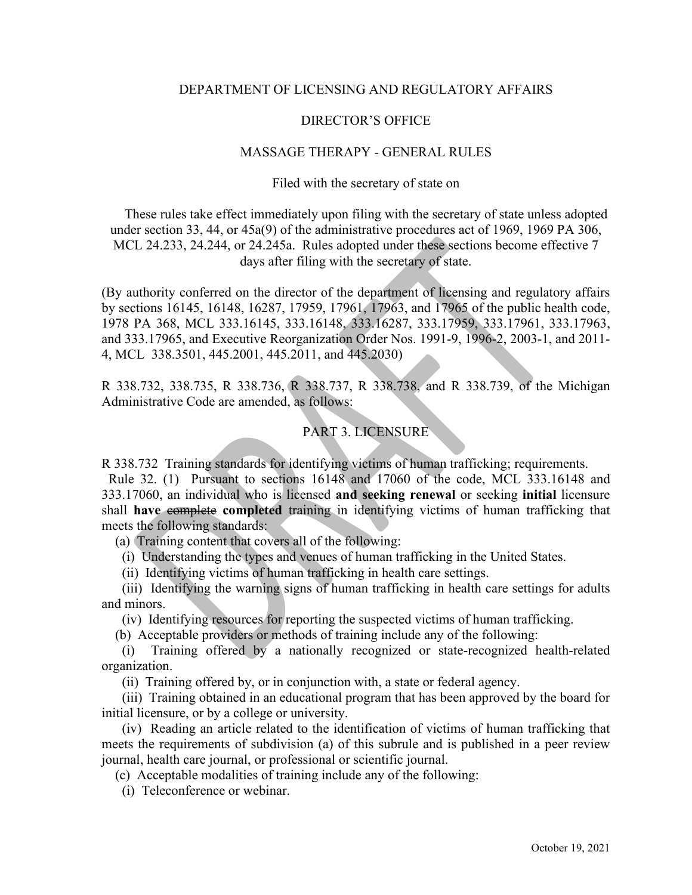#### DEPARTMENT OF LICENSING AND REGULATORY AFFAIRS

#### DIRECTOR'S OFFICE

#### MASSAGE THERAPY - GENERAL RULES

#### Filed with the secretary of state on

These rules take effect immediately upon filing with the secretary of state unless adopted under section 33, 44, or 45a(9) of the administrative procedures act of 1969, 1969 PA 306, MCL 24.233, 24.244, or 24.245a. Rules adopted under these sections become effective 7 days after filing with the secretary of state.

(By authority conferred on the director of the department of licensing and regulatory affairs by sections 16145, 16148, 16287, 17959, 17961, 17963, and 17965 of the public health code, 1978 PA 368, MCL 333.16145, 333.16148, 333.16287, 333.17959, 333.17961, 333.17963, and 333.17965, and Executive Reorganization Order Nos. 1991-9, 1996-2, 2003-1, and 2011- 4, MCL 338.3501, 445.2001, 445.2011, and 445.2030)

R 338.732, 338.735, R 338.736, R 338.737, R 338.738, and R 338.739, of the Michigan Administrative Code are amended, as follows:

### PART 3. LICENSURE

R 338.732 Training standards for identifying victims of human trafficking; requirements.

 Rule 32. (1) Pursuant to sections 16148 and 17060 of the code, MCL 333.16148 and 333.17060, an individual who is licensed **and seeking renewal** or seeking **initial** licensure shall **have** complete **completed** training in identifying victims of human trafficking that meets the following standards:

(a) Training content that covers all of the following:

- (i) Understanding the types and venues of human trafficking in the United States.
- (ii) Identifying victims of human trafficking in health care settings.

(iii) Identifying the warning signs of human trafficking in health care settings for adults and minors.

(iv) Identifying resources for reporting the suspected victims of human trafficking.

(b) Acceptable providers or methods of training include any of the following:

 (i) Training offered by a nationally recognized or state-recognized health-related organization.

(ii) Training offered by, or in conjunction with, a state or federal agency.

(iii) Training obtained in an educational program that has been approved by the board for initial licensure, or by a college or university.

(iv) Reading an article related to the identification of victims of human trafficking that meets the requirements of subdivision (a) of this subrule and is published in a peer review journal, health care journal, or professional or scientific journal.

(c) Acceptable modalities of training include any of the following:

(i) Teleconference or webinar.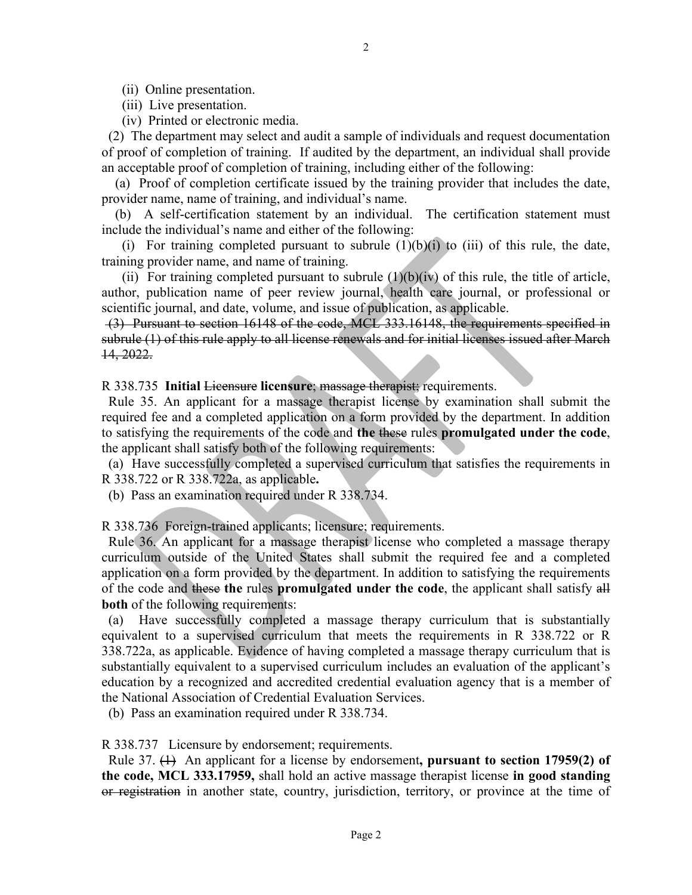(iii) Live presentation.

(iv) Printed or electronic media.

 (2) The department may select and audit a sample of individuals and request documentation of proof of completion of training. If audited by the department, an individual shall provide an acceptable proof of completion of training, including either of the following:

 (a) Proof of completion certificate issued by the training provider that includes the date, provider name, name of training, and individual's name.

 (b) A self-certification statement by an individual. The certification statement must include the individual's name and either of the following:

(i) For training completed pursuant to subrule  $(1)(b)(i)$  to (iii) of this rule, the date, training provider name, and name of training.

(ii) For training completed pursuant to subrule  $(1)(b)(iv)$  of this rule, the title of article, author, publication name of peer review journal, health care journal, or professional or scientific journal, and date, volume, and issue of publication, as applicable.

(3) Pursuant to section 16148 of the code, MCL 333.16148, the requirements specified in subrule (1) of this rule apply to all license renewals and for initial licenses issued after March 14, 2022.

R 338.735 **Initial** Licensure **licensure**; massage therapist; requirements.

Rule 35. An applicant for a massage therapist license by examination shall submit the required fee and a completed application on a form provided by the department. In addition to satisfying the requirements of the code and **the** these rules **promulgated under the code**, the applicant shall satisfy both of the following requirements:

 (a) Have successfully completed a supervised curriculum that satisfies the requirements in R 338.722 or R 338.722a, as applicable**.** 

(b) Pass an examination required under R 338.734.

R 338.736 Foreign-trained applicants; licensure; requirements.

 Rule 36. An applicant for a massage therapist license who completed a massage therapy curriculum outside of the United States shall submit the required fee and a completed application on a form provided by the department. In addition to satisfying the requirements of the code and these **the** rules **promulgated under the code**, the applicant shall satisfy all **both** of the following requirements:

 (a) Have successfully completed a massage therapy curriculum that is substantially equivalent to a supervised curriculum that meets the requirements in R 338.722 or R 338.722a, as applicable. Evidence of having completed a massage therapy curriculum that is substantially equivalent to a supervised curriculum includes an evaluation of the applicant's education by a recognized and accredited credential evaluation agency that is a member of the National Association of Credential Evaluation Services.

(b) Pass an examination required under R 338.734.

R 338.737 Licensure by endorsement; requirements.

 Rule 37. (1) An applicant for a license by endorsement**, pursuant to section 17959(2) of the code, MCL 333.17959,** shall hold an active massage therapist license **in good standing**  or registration in another state, country, jurisdiction, territory, or province at the time of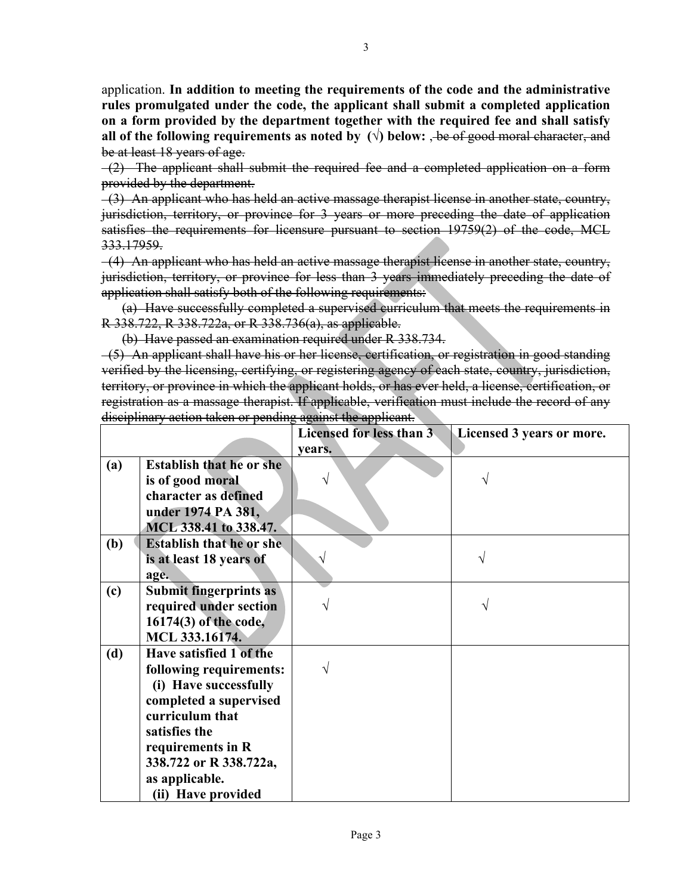application. **In addition to meeting the requirements of the code and the administrative rules promulgated under the code, the applicant shall submit a completed application on a form provided by the department together with the required fee and shall satisfy all of the following requirements as noted by**  $(\sqrt{})$  **below:**  $\frac{1}{\sqrt{}}$  **be of good moral character, and** be at least 18 years of age.

 (2) The applicant shall submit the required fee and a completed application on a form provided by the department.

 (3) An applicant who has held an active massage therapist license in another state, country, jurisdiction, territory, or province for 3 years or more preceding the date of application satisfies the requirements for licensure pursuant to section 19759(2) of the code, MCL 333.17959.

 (4) An applicant who has held an active massage therapist license in another state, country, jurisdiction, territory, or province for less than 3 years immediately preceding the date of application shall satisfy both of the following requirements:

(a) Have successfully completed a supervised curriculum that meets the requirements in R 338.722, R 338.722a, or R 338.736(a), as applicable.

(b) Have passed an examination required under R 338.734.

(5) An applicant shall have his or her license, certification, or registration in good standing verified by the licensing, certifying, or registering agency of each state, country, jurisdiction, territory, or province in which the applicant holds, or has ever held, a license, certification, or registration as a massage therapist. If applicable, verification must include the record of any disciplinary action taken or pending against the applicant.

|     |                                  | Licensed for less than 3 | Licensed 3 years or more. |
|-----|----------------------------------|--------------------------|---------------------------|
|     |                                  | years.                   |                           |
| (a) | <b>Establish that he or she</b>  |                          |                           |
|     | is of good moral                 |                          | V                         |
|     | character as defined             |                          |                           |
|     | under 1974 PA 381,               |                          |                           |
|     | MCL 338.41 to 338.47.            |                          |                           |
| (b) | <b>Establish that he or she.</b> |                          |                           |
|     | is at least 18 years of          | V                        |                           |
|     | age.                             |                          |                           |
| (c) | <b>Submit fingerprints as</b>    |                          |                           |
|     | required under section           |                          |                           |
|     | 16174(3) of the code,            |                          |                           |
|     | MCL 333.16174.                   |                          |                           |
| (d) | Have satisfied 1 of the          |                          |                           |
|     | following requirements:          | V                        |                           |
|     | (i) Have successfully            |                          |                           |
|     | completed a supervised           |                          |                           |
|     | curriculum that                  |                          |                           |
|     | satisfies the                    |                          |                           |
|     | requirements in R                |                          |                           |
|     | 338.722 or R 338.722a,           |                          |                           |
|     | as applicable.                   |                          |                           |
|     | (ii) Have provided               |                          |                           |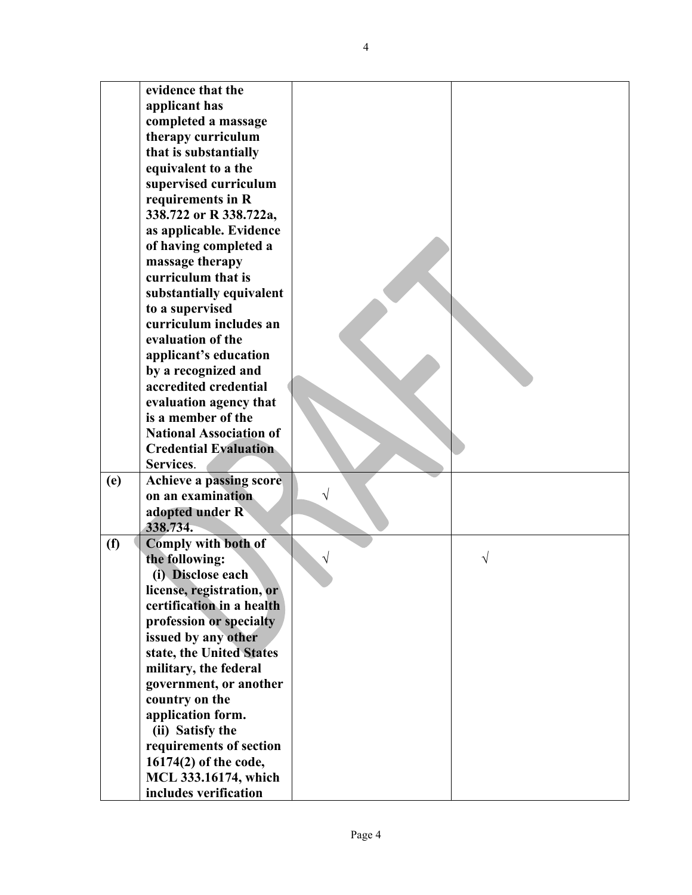| evidence that the<br>applicant has<br>completed a massage<br>therapy curriculum<br>that is substantially<br>equivalent to a the<br>supervised curriculum<br>requirements in R<br>338.722 or R 338.722a,<br>as applicable. Evidence<br>of having completed a<br>massage therapy<br>curriculum that is<br>substantially equivalent<br>to a supervised<br>curriculum includes an<br>evaluation of the<br>applicant's education<br>by a recognized and<br>accredited credential<br>evaluation agency that<br>is a member of the<br><b>National Association of</b><br><b>Credential Evaluation</b><br>Services.<br>Achieve a passing score<br>(e)<br>on an examination<br>V<br>adopted under R<br>338.734.<br><b>Comply with both of</b><br>(f)<br>the following:<br>V<br>(i) Disclose each<br>license, registration, or<br>certification in a health |
|--------------------------------------------------------------------------------------------------------------------------------------------------------------------------------------------------------------------------------------------------------------------------------------------------------------------------------------------------------------------------------------------------------------------------------------------------------------------------------------------------------------------------------------------------------------------------------------------------------------------------------------------------------------------------------------------------------------------------------------------------------------------------------------------------------------------------------------------------|
|                                                                                                                                                                                                                                                                                                                                                                                                                                                                                                                                                                                                                                                                                                                                                                                                                                                  |
|                                                                                                                                                                                                                                                                                                                                                                                                                                                                                                                                                                                                                                                                                                                                                                                                                                                  |
|                                                                                                                                                                                                                                                                                                                                                                                                                                                                                                                                                                                                                                                                                                                                                                                                                                                  |
|                                                                                                                                                                                                                                                                                                                                                                                                                                                                                                                                                                                                                                                                                                                                                                                                                                                  |
|                                                                                                                                                                                                                                                                                                                                                                                                                                                                                                                                                                                                                                                                                                                                                                                                                                                  |
|                                                                                                                                                                                                                                                                                                                                                                                                                                                                                                                                                                                                                                                                                                                                                                                                                                                  |
|                                                                                                                                                                                                                                                                                                                                                                                                                                                                                                                                                                                                                                                                                                                                                                                                                                                  |
|                                                                                                                                                                                                                                                                                                                                                                                                                                                                                                                                                                                                                                                                                                                                                                                                                                                  |
|                                                                                                                                                                                                                                                                                                                                                                                                                                                                                                                                                                                                                                                                                                                                                                                                                                                  |
|                                                                                                                                                                                                                                                                                                                                                                                                                                                                                                                                                                                                                                                                                                                                                                                                                                                  |
|                                                                                                                                                                                                                                                                                                                                                                                                                                                                                                                                                                                                                                                                                                                                                                                                                                                  |
|                                                                                                                                                                                                                                                                                                                                                                                                                                                                                                                                                                                                                                                                                                                                                                                                                                                  |
|                                                                                                                                                                                                                                                                                                                                                                                                                                                                                                                                                                                                                                                                                                                                                                                                                                                  |
|                                                                                                                                                                                                                                                                                                                                                                                                                                                                                                                                                                                                                                                                                                                                                                                                                                                  |
|                                                                                                                                                                                                                                                                                                                                                                                                                                                                                                                                                                                                                                                                                                                                                                                                                                                  |
|                                                                                                                                                                                                                                                                                                                                                                                                                                                                                                                                                                                                                                                                                                                                                                                                                                                  |
|                                                                                                                                                                                                                                                                                                                                                                                                                                                                                                                                                                                                                                                                                                                                                                                                                                                  |
|                                                                                                                                                                                                                                                                                                                                                                                                                                                                                                                                                                                                                                                                                                                                                                                                                                                  |
|                                                                                                                                                                                                                                                                                                                                                                                                                                                                                                                                                                                                                                                                                                                                                                                                                                                  |
|                                                                                                                                                                                                                                                                                                                                                                                                                                                                                                                                                                                                                                                                                                                                                                                                                                                  |
|                                                                                                                                                                                                                                                                                                                                                                                                                                                                                                                                                                                                                                                                                                                                                                                                                                                  |
|                                                                                                                                                                                                                                                                                                                                                                                                                                                                                                                                                                                                                                                                                                                                                                                                                                                  |
|                                                                                                                                                                                                                                                                                                                                                                                                                                                                                                                                                                                                                                                                                                                                                                                                                                                  |
|                                                                                                                                                                                                                                                                                                                                                                                                                                                                                                                                                                                                                                                                                                                                                                                                                                                  |
|                                                                                                                                                                                                                                                                                                                                                                                                                                                                                                                                                                                                                                                                                                                                                                                                                                                  |
|                                                                                                                                                                                                                                                                                                                                                                                                                                                                                                                                                                                                                                                                                                                                                                                                                                                  |
|                                                                                                                                                                                                                                                                                                                                                                                                                                                                                                                                                                                                                                                                                                                                                                                                                                                  |
|                                                                                                                                                                                                                                                                                                                                                                                                                                                                                                                                                                                                                                                                                                                                                                                                                                                  |
|                                                                                                                                                                                                                                                                                                                                                                                                                                                                                                                                                                                                                                                                                                                                                                                                                                                  |
|                                                                                                                                                                                                                                                                                                                                                                                                                                                                                                                                                                                                                                                                                                                                                                                                                                                  |
|                                                                                                                                                                                                                                                                                                                                                                                                                                                                                                                                                                                                                                                                                                                                                                                                                                                  |
|                                                                                                                                                                                                                                                                                                                                                                                                                                                                                                                                                                                                                                                                                                                                                                                                                                                  |
|                                                                                                                                                                                                                                                                                                                                                                                                                                                                                                                                                                                                                                                                                                                                                                                                                                                  |
|                                                                                                                                                                                                                                                                                                                                                                                                                                                                                                                                                                                                                                                                                                                                                                                                                                                  |
|                                                                                                                                                                                                                                                                                                                                                                                                                                                                                                                                                                                                                                                                                                                                                                                                                                                  |
| profession or specialty                                                                                                                                                                                                                                                                                                                                                                                                                                                                                                                                                                                                                                                                                                                                                                                                                          |
| issued by any other                                                                                                                                                                                                                                                                                                                                                                                                                                                                                                                                                                                                                                                                                                                                                                                                                              |
| state, the United States                                                                                                                                                                                                                                                                                                                                                                                                                                                                                                                                                                                                                                                                                                                                                                                                                         |
| military, the federal                                                                                                                                                                                                                                                                                                                                                                                                                                                                                                                                                                                                                                                                                                                                                                                                                            |
| government, or another                                                                                                                                                                                                                                                                                                                                                                                                                                                                                                                                                                                                                                                                                                                                                                                                                           |
| country on the                                                                                                                                                                                                                                                                                                                                                                                                                                                                                                                                                                                                                                                                                                                                                                                                                                   |
| application form.                                                                                                                                                                                                                                                                                                                                                                                                                                                                                                                                                                                                                                                                                                                                                                                                                                |
| (ii) Satisfy the                                                                                                                                                                                                                                                                                                                                                                                                                                                                                                                                                                                                                                                                                                                                                                                                                                 |
| requirements of section                                                                                                                                                                                                                                                                                                                                                                                                                                                                                                                                                                                                                                                                                                                                                                                                                          |
| 16174(2) of the code,                                                                                                                                                                                                                                                                                                                                                                                                                                                                                                                                                                                                                                                                                                                                                                                                                            |
| MCL 333.16174, which                                                                                                                                                                                                                                                                                                                                                                                                                                                                                                                                                                                                                                                                                                                                                                                                                             |
| includes verification                                                                                                                                                                                                                                                                                                                                                                                                                                                                                                                                                                                                                                                                                                                                                                                                                            |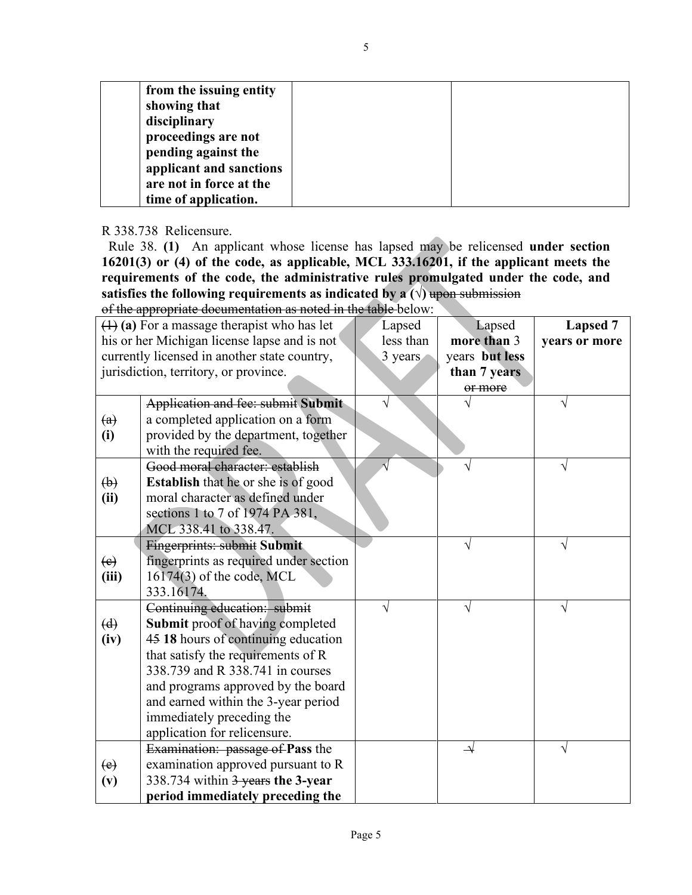| from the issuing entity |  |
|-------------------------|--|
| showing that            |  |
| disciplinary            |  |
| proceedings are not     |  |
| pending against the     |  |
| applicant and sanctions |  |
| are not in force at the |  |
| time of application.    |  |

### R 338.738 Relicensure.

 Rule 38. **(1)** An applicant whose license has lapsed may be relicensed **under section 16201(3) or (4) of the code, as applicable, MCL 333.16201, if the applicant meets the requirements of the code, the administrative rules promulgated under the code, and satisfies the following requirements as indicated by a**  $(\sqrt{})$  **upon submission** 

of the appropriate documentation as noted in the table below:

| $(1)$ (a) For a massage therapist who has let<br>his or her Michigan license lapse and is not |                                                                               | Lapsed<br>less than | Lapsed<br>more than 3 | <b>Lapsed 7</b><br>years or more |
|-----------------------------------------------------------------------------------------------|-------------------------------------------------------------------------------|---------------------|-----------------------|----------------------------------|
| currently licensed in another state country,                                                  |                                                                               | 3 years             | years but less        |                                  |
| jurisdiction, territory, or province.                                                         |                                                                               |                     | than 7 years          |                                  |
|                                                                                               |                                                                               |                     | or more               |                                  |
|                                                                                               | Application and fee: submit Submit                                            |                     |                       | V                                |
| $\left(\mathrm{a}\right)$                                                                     | a completed application on a form                                             |                     |                       |                                  |
| (i)                                                                                           | provided by the department, together                                          |                     |                       |                                  |
|                                                                                               | with the required fee.                                                        |                     |                       |                                  |
|                                                                                               | Good moral character: establish<br><b>Establish</b> that he or she is of good |                     |                       | V                                |
| $\biguplus$<br>(ii)                                                                           | moral character as defined under                                              |                     |                       |                                  |
|                                                                                               | sections 1 to 7 of 1974 PA 381,                                               |                     |                       |                                  |
|                                                                                               | MCL 338.41 to 338.47.                                                         |                     |                       |                                  |
|                                                                                               | <b>Fingerprints: submit Submit</b>                                            |                     |                       |                                  |
| $\left(e\right)$                                                                              | fingerprints as required under section                                        |                     |                       |                                  |
| (iii)                                                                                         | 16174(3) of the code, MCL                                                     |                     |                       |                                  |
|                                                                                               | 333.16174.                                                                    |                     |                       |                                  |
|                                                                                               | Continuing education: submit                                                  | V                   | V                     | V                                |
| $\left(\mathrm{d}\right)$                                                                     | <b>Submit proof of having completed</b>                                       |                     |                       |                                  |
| (iv)                                                                                          | 45 18 hours of continuing education                                           |                     |                       |                                  |
|                                                                                               | that satisfy the requirements of R<br>338.739 and R 338.741 in courses        |                     |                       |                                  |
|                                                                                               | and programs approved by the board                                            |                     |                       |                                  |
|                                                                                               | and earned within the 3-year period                                           |                     |                       |                                  |
|                                                                                               | immediately preceding the                                                     |                     |                       |                                  |
|                                                                                               | application for relicensure.                                                  |                     |                       |                                  |
|                                                                                               | <b>Examination:</b> passage of <b>Pass</b> the                                |                     | $\rightarrow$         | V                                |
| $\left(e\right)$                                                                              | examination approved pursuant to R                                            |                     |                       |                                  |
| (v)                                                                                           | 338.734 within 3 years the 3-year                                             |                     |                       |                                  |
|                                                                                               | period immediately preceding the                                              |                     |                       |                                  |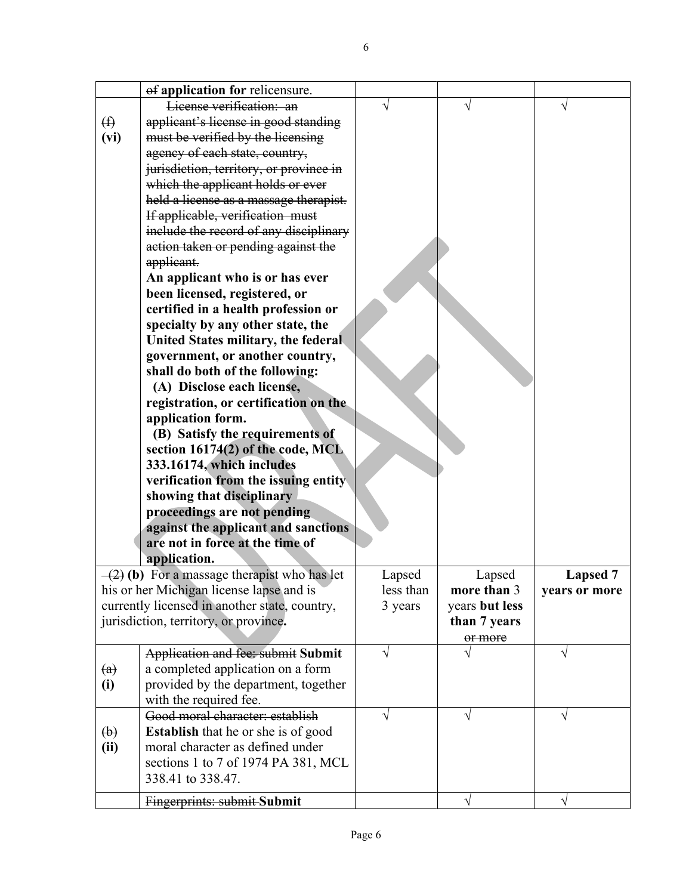|                           | of application for relicensure.                                      |           |                |                 |
|---------------------------|----------------------------------------------------------------------|-----------|----------------|-----------------|
|                           | License verification: an                                             |           |                |                 |
| $\bigoplus$               | applicant's license in good standing                                 |           |                |                 |
| (vi)                      | must be verified by the licensing                                    |           |                |                 |
|                           | agency of each state, country,                                       |           |                |                 |
|                           | jurisdiction, territory, or province in                              |           |                |                 |
|                           | which the applicant holds or ever                                    |           |                |                 |
|                           | held a license as a massage therapist.                               |           |                |                 |
|                           | If applicable, verification must                                     |           |                |                 |
|                           | include the record of any disciplinary                               |           |                |                 |
|                           | action taken or pending against the                                  |           |                |                 |
|                           | applicant.                                                           |           |                |                 |
|                           | An applicant who is or has ever                                      |           |                |                 |
|                           | been licensed, registered, or                                        |           |                |                 |
|                           | certified in a health profession or                                  |           |                |                 |
|                           | specialty by any other state, the                                    |           |                |                 |
|                           | United States military, the federal                                  |           |                |                 |
|                           | government, or another country,                                      |           |                |                 |
|                           | shall do both of the following:                                      |           |                |                 |
|                           | (A) Disclose each license,                                           |           |                |                 |
|                           | registration, or certification on the                                |           |                |                 |
|                           | application form.                                                    |           |                |                 |
|                           | (B) Satisfy the requirements of<br>section 16174(2) of the code, MCL |           |                |                 |
|                           | 333.16174, which includes                                            |           |                |                 |
|                           | verification from the issuing entity                                 |           |                |                 |
|                           | showing that disciplinary                                            |           |                |                 |
|                           | proceedings are not pending                                          |           |                |                 |
|                           | against the applicant and sanctions                                  |           |                |                 |
|                           | are not in force at the time of                                      |           |                |                 |
|                           | application.                                                         |           |                |                 |
|                           | $-(2)$ (b) For a massage therapist who has let                       | Lapsed    | Lapsed         | <b>Lapsed 7</b> |
|                           | his or her Michigan license lapse and is                             | less than | more than 3    | years or more   |
|                           | currently licensed in another state, country,                        | 3 years   | years but less |                 |
|                           | jurisdiction, territory, or province.                                |           | than 7 years   |                 |
|                           |                                                                      |           | or more        |                 |
|                           | Application and fee: submit Submit                                   | $\sqrt{}$ |                |                 |
| $\left( a\right)$         | a completed application on a form                                    |           |                |                 |
| (i)                       | provided by the department, together                                 |           |                |                 |
|                           | with the required fee.                                               |           |                |                 |
|                           | Good moral character: establish                                      | V         | V              | V               |
| $\left(\mathbf{b}\right)$ | <b>Establish</b> that he or she is of good                           |           |                |                 |
| (ii)                      | moral character as defined under                                     |           |                |                 |
|                           | sections 1 to 7 of 1974 PA 381, MCL                                  |           |                |                 |
|                           | 338.41 to 338.47.                                                    |           |                |                 |
|                           | Fingerprints: submit-Submit                                          |           | V              | V               |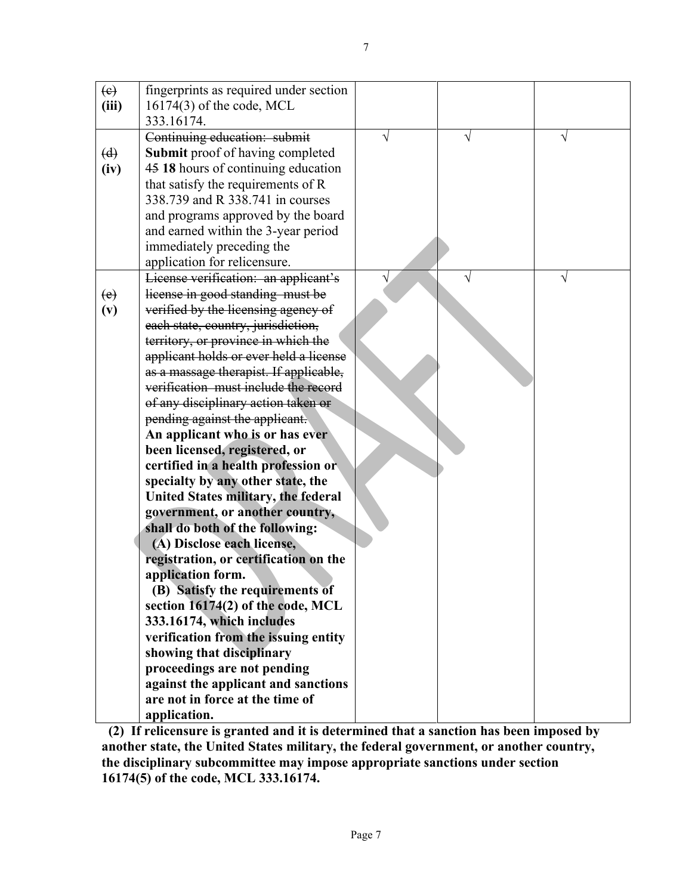| $\left(\mathbf{e}\right)$<br>(iii) | fingerprints as required under section<br>$16174(3)$ of the code, MCL          |   |   |   |
|------------------------------------|--------------------------------------------------------------------------------|---|---|---|
|                                    | 333.16174.                                                                     |   |   |   |
|                                    | Continuing education: submit                                                   | V | V | V |
| (d)                                | <b>Submit</b> proof of having completed                                        |   |   |   |
| (iv)                               | 45 18 hours of continuing education                                            |   |   |   |
|                                    | that satisfy the requirements of R                                             |   |   |   |
|                                    | 338.739 and R 338.741 in courses                                               |   |   |   |
|                                    | and programs approved by the board                                             |   |   |   |
|                                    | and earned within the 3-year period                                            |   |   |   |
|                                    | immediately preceding the                                                      |   |   |   |
|                                    | application for relicensure.                                                   |   |   |   |
|                                    | License verification: an applicant's                                           |   |   |   |
| (e)                                | license in good standing must be                                               |   |   |   |
| (v)                                | verified by the licensing agency of                                            |   |   |   |
|                                    | each state, country, jurisdiction,                                             |   |   |   |
|                                    | territory, or province in which the                                            |   |   |   |
|                                    | applicant holds or ever held a license                                         |   |   |   |
|                                    | as a massage therapist. If applicable,<br>verification must include the record |   |   |   |
|                                    | of any disciplinary action taken or                                            |   |   |   |
|                                    | pending against the applicant.                                                 |   |   |   |
|                                    | An applicant who is or has ever                                                |   |   |   |
|                                    | been licensed, registered, or                                                  |   |   |   |
|                                    | certified in a health profession or                                            |   |   |   |
|                                    | specialty by any other state, the                                              |   |   |   |
|                                    | United States military, the federal                                            |   |   |   |
|                                    | government, or another country,                                                |   |   |   |
|                                    | shall do both of the following:                                                |   |   |   |
|                                    | (A) Disclose each license,                                                     |   |   |   |
|                                    | registration, or certification on the                                          |   |   |   |
|                                    | application form.                                                              |   |   |   |
|                                    | (B) Satisfy the requirements of                                                |   |   |   |
|                                    | section 16174(2) of the code, MCL                                              |   |   |   |
|                                    | 333.16174, which includes                                                      |   |   |   |
|                                    | verification from the issuing entity<br>showing that disciplinary              |   |   |   |
|                                    | proceedings are not pending                                                    |   |   |   |
|                                    | against the applicant and sanctions                                            |   |   |   |
|                                    | are not in force at the time of                                                |   |   |   |
|                                    | application.                                                                   |   |   |   |

**(2) If relicensure is granted and it is determined that a sanction has been imposed by another state, the United States military, the federal government, or another country, the disciplinary subcommittee may impose appropriate sanctions under section 16174(5) of the code, MCL 333.16174.**